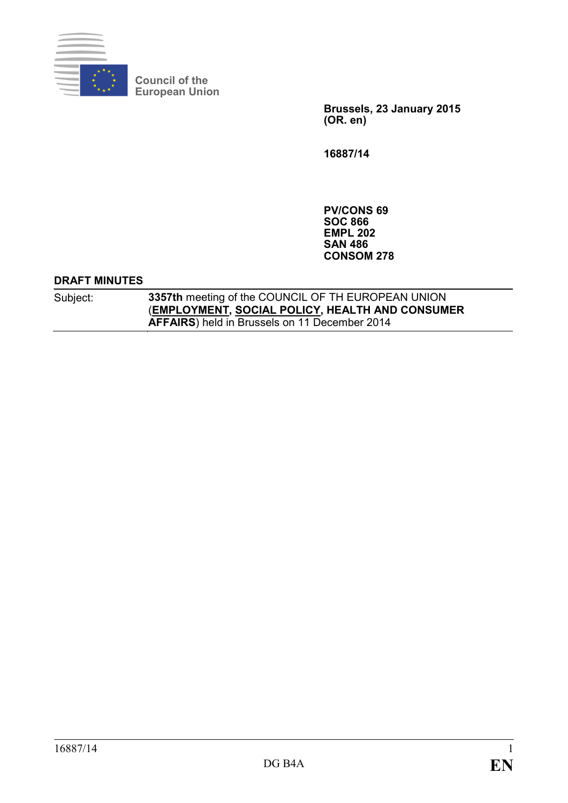

**Council of the European Union**

> **Brussels, 23 January 2015 (OR. en)**

**16887/14**

**PV/CONS 69 SOC 866 EMPL 202 SAN 486 CONSOM 278**

#### **DRAFT MINUTES**

Subject: **3357th** meeting of the COUNCIL OF TH EUROPEAN UNION (**EMPLOYMENT, SOCIAL POLICY, HEALTH AND CONSUMER AFFAIRS**) held in Brussels on 11 December 2014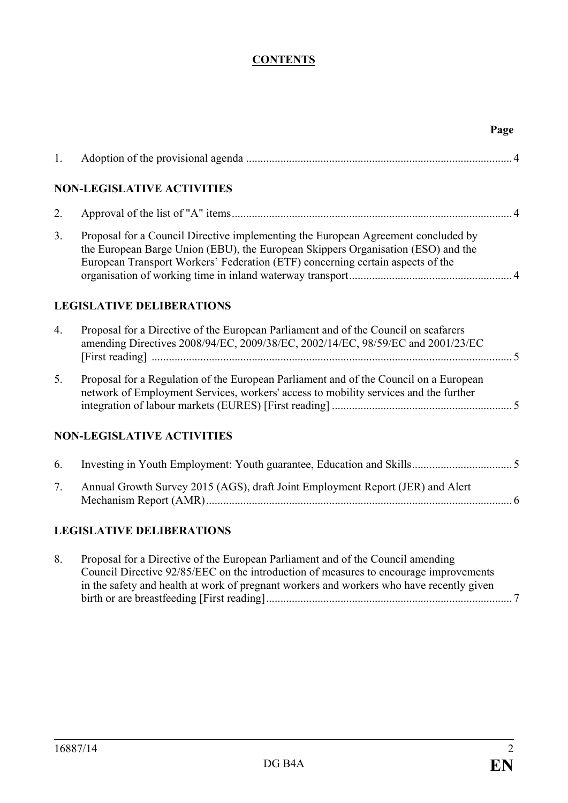# **CONTENTS**

|    |                                                                                                                                                                                                                                                                      | Page |
|----|----------------------------------------------------------------------------------------------------------------------------------------------------------------------------------------------------------------------------------------------------------------------|------|
| 1. |                                                                                                                                                                                                                                                                      |      |
|    | <b>NON-LEGISLATIVE ACTIVITIES</b>                                                                                                                                                                                                                                    |      |
| 2. |                                                                                                                                                                                                                                                                      |      |
| 3. | Proposal for a Council Directive implementing the European Agreement concluded by<br>the European Barge Union (EBU), the European Skippers Organisation (ESO) and the<br>European Transport Workers' Federation (ETF) concerning certain aspects of the              |      |
|    | <b>LEGISLATIVE DELIBERATIONS</b>                                                                                                                                                                                                                                     |      |
| 4. | Proposal for a Directive of the European Parliament and of the Council on seafarers<br>amending Directives 2008/94/EC, 2009/38/EC, 2002/14/EC, 98/59/EC and 2001/23/EC                                                                                               |      |
| 5. | Proposal for a Regulation of the European Parliament and of the Council on a European<br>network of Employment Services, workers' access to mobility services and the further                                                                                        |      |
|    | <b>NON-LEGISLATIVE ACTIVITIES</b>                                                                                                                                                                                                                                    |      |
| 6. |                                                                                                                                                                                                                                                                      |      |
| 7. | Annual Growth Survey 2015 (AGS), draft Joint Employment Report (JER) and Alert                                                                                                                                                                                       |      |
|    | <b>LEGISLATIVE DELIBERATIONS</b>                                                                                                                                                                                                                                     |      |
| 8. | Proposal for a Directive of the European Parliament and of the Council amending<br>Council Directive 92/85/EEC on the introduction of measures to encourage improvements<br>in the safety and health at work of pregnant workers and workers who have recently given |      |

birth or are breastfeeding [First reading]...................................................................................... 7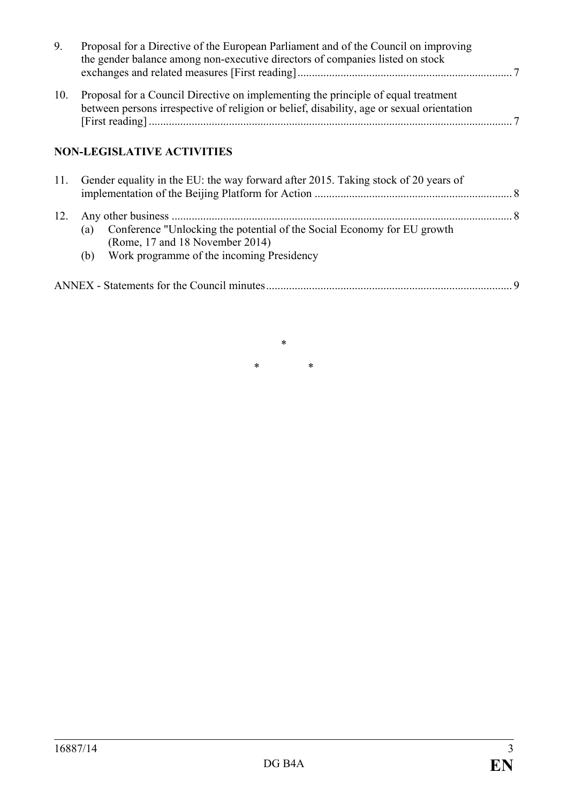| 9.  | Proposal for a Directive of the European Parliament and of the Council on improving<br>the gender balance among non-executive directors of companies listed on stock           |  |
|-----|--------------------------------------------------------------------------------------------------------------------------------------------------------------------------------|--|
| 10. | Proposal for a Council Directive on implementing the principle of equal treatment<br>between persons irrespective of religion or belief, disability, age or sexual orientation |  |
|     | <b>NON-LEGISLATIVE ACTIVITIES</b>                                                                                                                                              |  |
| 11. | Gender equality in the EU: the way forward after 2015. Taking stock of 20 years of                                                                                             |  |

|  | (a) Conference "Unlocking the potential of the Social Economy for EU growth |  |
|--|-----------------------------------------------------------------------------|--|
|  | (Rome, 17 and 18 November 2014)                                             |  |

(b) Work programme of the incoming Presidency

\* \* \*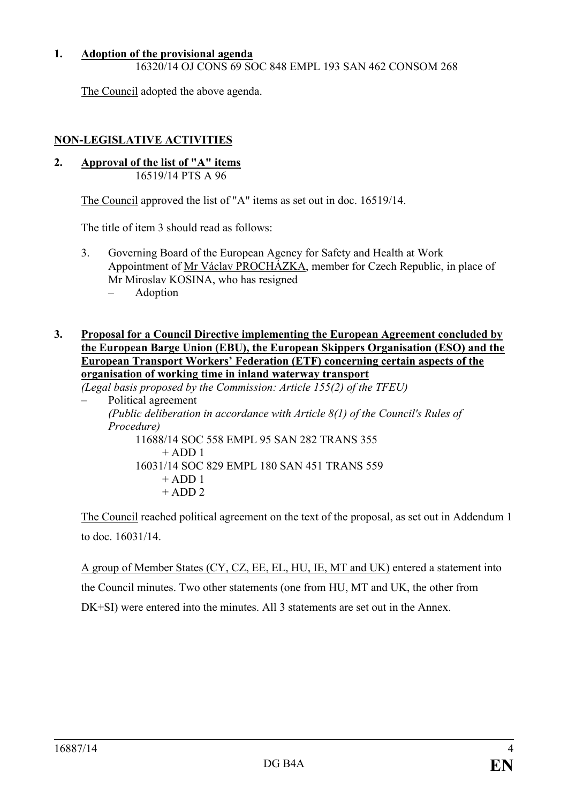## **1. Adoption of the provisional agenda**

16320/14 OJ CONS 69 SOC 848 EMPL 193 SAN 462 CONSOM 268

The Council adopted the above agenda.

# **NON-LEGISLATIVE ACTIVITIES**

**2. Approval of the list of "A" items** 16519/14 PTS A 96

The Council approved the list of "A" items as set out in doc. 16519/14.

The title of item 3 should read as follows:

- 3. Governing Board of the European Agency for Safety and Health at Work Appointment of Mr Václav PROCHÁZKA, member for Czech Republic, in place of Mr Miroslav KOSINA, who has resigned
	- Adoption
- **3. Proposal for a Council Directive implementing the European Agreement concluded by the European Barge Union (EBU), the European Skippers Organisation (ESO) and the European Transport Workers' Federation (ETF) concerning certain aspects of the organisation of working time in inland waterway transport**

*(Legal basis proposed by the Commission: Article 155(2) of the TFEU)*

– Political agreement *(Public deliberation in accordance with Article 8(1) of the Council's Rules of Procedure)* 11688/14 SOC 558 EMPL 95 SAN 282 TRANS 355  $+$  ADD 1 16031/14 SOC 829 EMPL 180 SAN 451 TRANS 559  $+$  ADD 1  $+$  ADD 2

The Council reached political agreement on the text of the proposal, as set out in Addendum 1 to doc. 16031/14.

A group of Member States (CY, CZ, EE, EL, HU, IE, MT and UK) entered a statement into the Council minutes. Two other statements (one from HU, MT and UK, the other from DK+SI) were entered into the minutes. All 3 statements are set out in the Annex.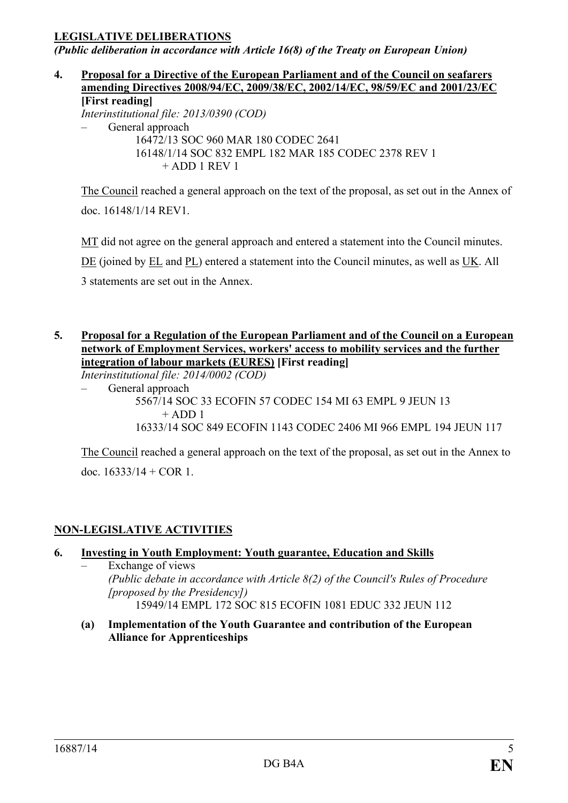## **LEGISLATIVE DELIBERATIONS**

*(Public deliberation in accordance with Article 16(8) of the Treaty on European Union)*

**4. Proposal for a Directive of the European Parliament and of the Council on seafarers amending Directives 2008/94/EC, 2009/38/EC, 2002/14/EC, 98/59/EC and 2001/23/EC [First reading]** *Interinstitutional file: 2013/0390 (COD)* – General approach 16472/13 SOC 960 MAR 180 CODEC 2641 16148/1/14 SOC 832 EMPL 182 MAR 185 CODEC 2378 REV 1  $+$  ADD 1 REV 1

The Council reached a general approach on the text of the proposal, as set out in the Annex of doc. 16148/1/14 REV1.

MT did not agree on the general approach and entered a statement into the Council minutes. DE (joined by EL and PL) entered a statement into the Council minutes, as well as UK. All 3 statements are set out in the Annex.

#### **5. Proposal for a Regulation of the European Parliament and of the Council on a European network of Employment Services, workers' access to mobility services and the further integration of labour markets (EURES) [First reading]**

*Interinstitutional file: 2014/0002 (COD)*

– General approach

5567/14 SOC 33 ECOFIN 57 CODEC 154 MI 63 EMPL 9 JEUN 13  $+$  ADD 1 16333/14 SOC 849 ECOFIN 1143 CODEC 2406 MI 966 EMPL 194 JEUN 117

The Council reached a general approach on the text of the proposal, as set out in the Annex to doc.  $16333/14 + COR$  1.

# **NON-LEGISLATIVE ACTIVITIES**

# **6. Investing in Youth Employment: Youth guarantee, Education and Skills**

- Exchange of views *(Public debate in accordance with Article 8(2) of the Council's Rules of Procedure [proposed by the Presidency])* 15949/14 EMPL 172 SOC 815 ECOFIN 1081 EDUC 332 JEUN 112
- **(a) Implementation of the Youth Guarantee and contribution of the European Alliance for Apprenticeships**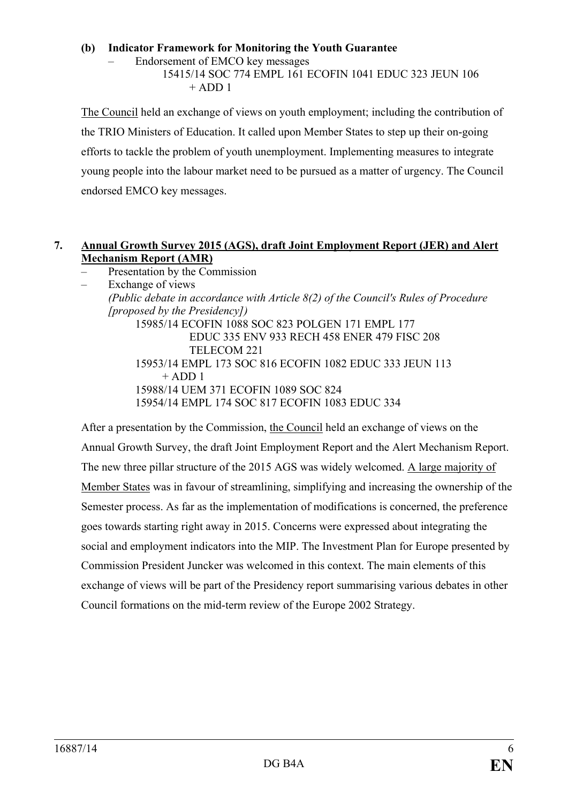#### **(b) Indicator Framework for Monitoring the Youth Guarantee**

– Endorsement of EMCO key messages

15415/14 SOC 774 EMPL 161 ECOFIN 1041 EDUC 323 JEUN 106  $+$  ADD 1

The Council held an exchange of views on youth employment; including the contribution of the TRIO Ministers of Education. It called upon Member States to step up their on-going efforts to tackle the problem of youth unemployment. Implementing measures to integrate young people into the labour market need to be pursued as a matter of urgency. The Council endorsed EMCO key messages.

## **7. Annual Growth Survey 2015 (AGS), draft Joint Employment Report (JER) and Alert Mechanism Report (AMR)**

– Presentation by the Commission

– Exchange of views *(Public debate in accordance with Article 8(2) of the Council's Rules of Procedure [proposed by the Presidency])* 15985/14 ECOFIN 1088 SOC 823 POLGEN 171 EMPL 177 EDUC 335 ENV 933 RECH 458 ENER 479 FISC 208 TELECOM 221 15953/14 EMPL 173 SOC 816 ECOFIN 1082 EDUC 333 JEUN 113  $+$  ADD 1 15988/14 UEM 371 ECOFIN 1089 SOC 824 15954/14 EMPL 174 SOC 817 ECOFIN 1083 EDUC 334

After a presentation by the Commission, the Council held an exchange of views on the Annual Growth Survey, the draft Joint Employment Report and the Alert Mechanism Report. The new three pillar structure of the 2015 AGS was widely welcomed. A large majority of Member States was in favour of streamlining, simplifying and increasing the ownership of the Semester process. As far as the implementation of modifications is concerned, the preference goes towards starting right away in 2015. Concerns were expressed about integrating the social and employment indicators into the MIP. The Investment Plan for Europe presented by Commission President Juncker was welcomed in this context. The main elements of this exchange of views will be part of the Presidency report summarising various debates in other Council formations on the mid-term review of the Europe 2002 Strategy.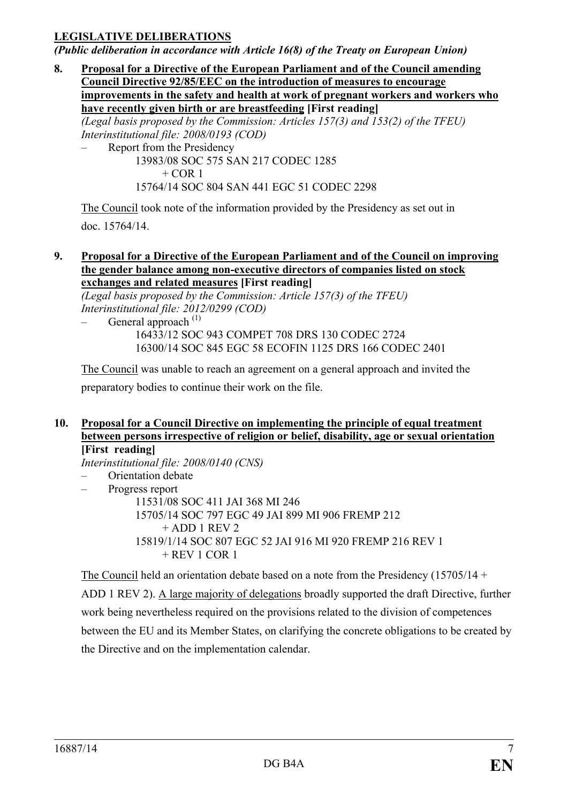## **LEGISLATIVE DELIBERATIONS**

*(Public deliberation in accordance with Article 16(8) of the Treaty on European Union)*

**8. Proposal for a Directive of the European Parliament and of the Council amending Council Directive 92/85/EEC on the introduction of measures to encourage improvements in the safety and health at work of pregnant workers and workers who have recently given birth or are breastfeeding [First reading]** *(Legal basis proposed by the Commission: Articles 157(3) and 153(2) of the TFEU) Interinstitutional file: 2008/0193 (COD)* – Report from the Presidency 13983/08 SOC 575 SAN 217 CODEC 1285

 $+$  COR 1

15764/14 SOC 804 SAN 441 EGC 51 CODEC 2298

The Council took note of the information provided by the Presidency as set out in doc. 15764/14.

#### **9. Proposal for a Directive of the European Parliament and of the Council on improving the gender balance among non-executive directors of companies listed on stock exchanges and related measures [First reading]**

*(Legal basis proposed by the Commission: Article 157(3) of the TFEU) Interinstitutional file: 2012/0299 (COD)*

General approach  $(1)$ 16433/12 SOC 943 COMPET 708 DRS 130 CODEC 2724 16300/14 SOC 845 EGC 58 ECOFIN 1125 DRS 166 CODEC 2401

The Council was unable to reach an agreement on a general approach and invited the preparatory bodies to continue their work on the file.

#### **10. Proposal for a Council Directive on implementing the principle of equal treatment between persons irrespective of religion or belief, disability, age or sexual orientation [First reading]**

*Interinstitutional file: 2008/0140 (CNS)*

– Orientation debate

– Progress report

11531/08 SOC 411 JAI 368 MI 246 15705/14 SOC 797 EGC 49 JAI 899 MI 906 FREMP 212  $+$  ADD 1 REV 2 15819/1/14 SOC 807 EGC 52 JAI 916 MI 920 FREMP 216 REV 1  $+$  REV 1 COR 1

The Council held an orientation debate based on a note from the Presidency  $(15705/14 +$ ADD 1 REV 2). A large majority of delegations broadly supported the draft Directive, further work being nevertheless required on the provisions related to the division of competences between the EU and its Member States, on clarifying the concrete obligations to be created by the Directive and on the implementation calendar.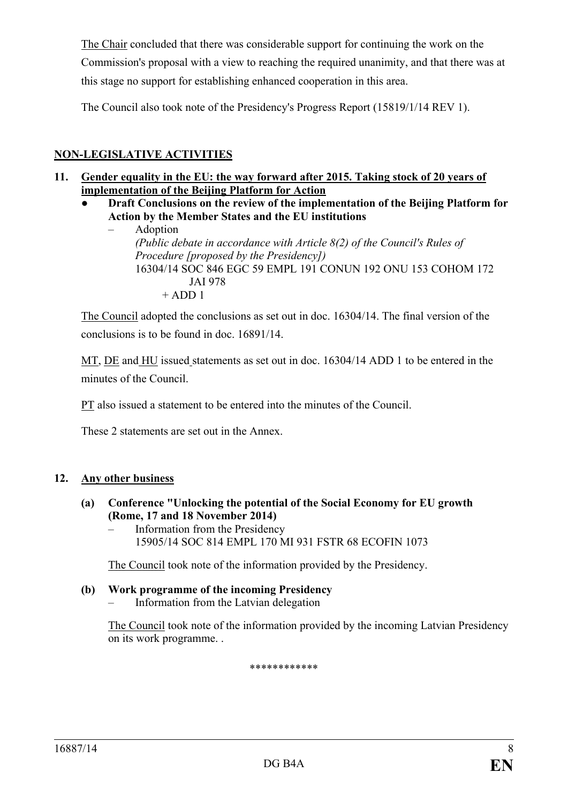The Chair concluded that there was considerable support for continuing the work on the Commission's proposal with a view to reaching the required unanimity, and that there was at this stage no support for establishing enhanced cooperation in this area.

The Council also took note of the Presidency's Progress Report (15819/1/14 REV 1).

# **NON-LEGISLATIVE ACTIVITIES**

- **11. Gender equality in the EU: the way forward after 2015. Taking stock of 20 years of implementation of the Beijing Platform for Action**
	- **● Draft Conclusions on the review of the implementation of the Beijing Platform for Action by the Member States and the EU institutions**
		- Adoption *(Public debate in accordance with Article 8(2) of the Council's Rules of Procedure [proposed by the Presidency])* 16304/14 SOC 846 EGC 59 EMPL 191 CONUN 192 ONU 153 COHOM 172 JAI 978  $+$  ADD 1

The Council adopted the conclusions as set out in doc. 16304/14. The final version of the conclusions is to be found in doc. 16891/14.

MT, DE and HU issued statements as set out in doc. 16304/14 ADD 1 to be entered in the minutes of the Council.

PT also issued a statement to be entered into the minutes of the Council.

These 2 statements are set out in the Annex.

## **12. Any other business**

- **(a) Conference "Unlocking the potential of the Social Economy for EU growth (Rome, 17 and 18 November 2014)**
	- Information from the Presidency 15905/14 SOC 814 EMPL 170 MI 931 FSTR 68 ECOFIN 1073

The Council took note of the information provided by the Presidency.

- **(b) Work programme of the incoming Presidency**
	- Information from the Latvian delegation

The Council took note of the information provided by the incoming Latvian Presidency on its work programme. .

\*\*\*\*\*\*\*\*\*\*\*\*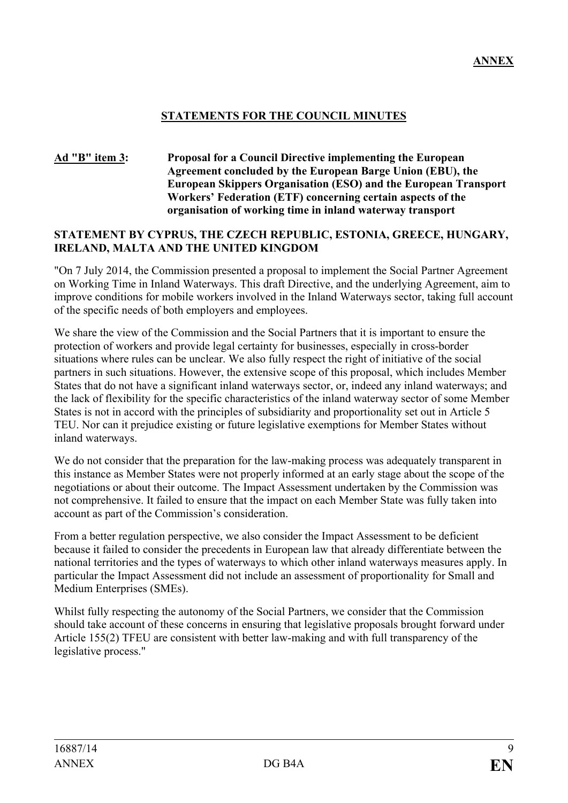## **STATEMENTS FOR THE COUNCIL MINUTES**

#### **Ad "B" item 3: Proposal for a Council Directive implementing the European Agreement concluded by the European Barge Union (EBU), the European Skippers Organisation (ESO) and the European Transport Workers' Federation (ETF) concerning certain aspects of the organisation of working time in inland waterway transport**

#### **STATEMENT BY CYPRUS, THE CZECH REPUBLIC, ESTONIA, GREECE, HUNGARY, IRELAND, MALTA AND THE UNITED KINGDOM**

"On 7 July 2014, the Commission presented a proposal to implement the Social Partner Agreement on Working Time in Inland Waterways. This draft Directive, and the underlying Agreement, aim to improve conditions for mobile workers involved in the Inland Waterways sector, taking full account of the specific needs of both employers and employees.

We share the view of the Commission and the Social Partners that it is important to ensure the protection of workers and provide legal certainty for businesses, especially in cross-border situations where rules can be unclear. We also fully respect the right of initiative of the social partners in such situations. However, the extensive scope of this proposal, which includes Member States that do not have a significant inland waterways sector, or, indeed any inland waterways; and the lack of flexibility for the specific characteristics of the inland waterway sector of some Member States is not in accord with the principles of subsidiarity and proportionality set out in Article 5 TEU. Nor can it prejudice existing or future legislative exemptions for Member States without inland waterways.

We do not consider that the preparation for the law-making process was adequately transparent in this instance as Member States were not properly informed at an early stage about the scope of the negotiations or about their outcome. The Impact Assessment undertaken by the Commission was not comprehensive. It failed to ensure that the impact on each Member State was fully taken into account as part of the Commission's consideration.

From a better regulation perspective, we also consider the Impact Assessment to be deficient because it failed to consider the precedents in European law that already differentiate between the national territories and the types of waterways to which other inland waterways measures apply. In particular the Impact Assessment did not include an assessment of proportionality for Small and Medium Enterprises (SMEs).

Whilst fully respecting the autonomy of the Social Partners, we consider that the Commission should take account of these concerns in ensuring that legislative proposals brought forward under Article 155(2) TFEU are consistent with better law-making and with full transparency of the legislative process."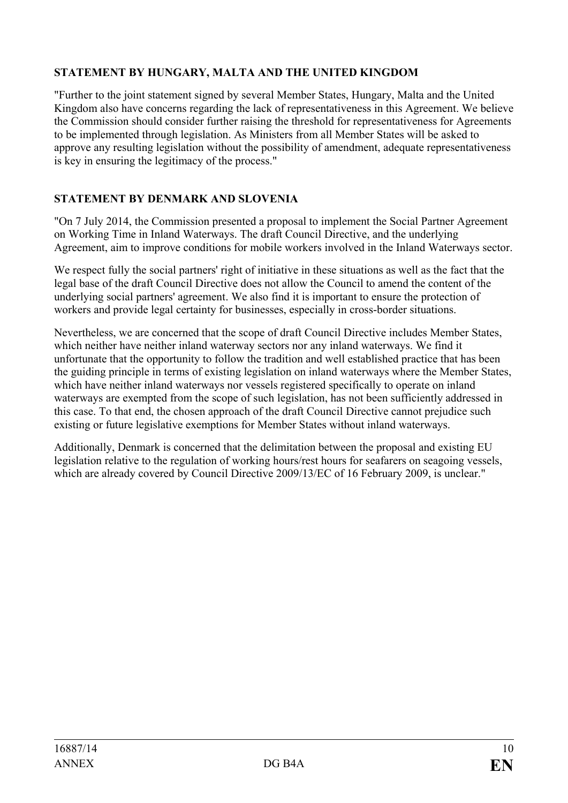# **STATEMENT BY HUNGARY, MALTA AND THE UNITED KINGDOM**

"Further to the joint statement signed by several Member States, Hungary, Malta and the United Kingdom also have concerns regarding the lack of representativeness in this Agreement. We believe the Commission should consider further raising the threshold for representativeness for Agreements to be implemented through legislation. As Ministers from all Member States will be asked to approve any resulting legislation without the possibility of amendment, adequate representativeness is key in ensuring the legitimacy of the process."

# **STATEMENT BY DENMARK AND SLOVENIA**

"On 7 July 2014, the Commission presented a proposal to implement the Social Partner Agreement on Working Time in Inland Waterways. The draft Council Directive, and the underlying Agreement, aim to improve conditions for mobile workers involved in the Inland Waterways sector.

We respect fully the social partners' right of initiative in these situations as well as the fact that the legal base of the draft Council Directive does not allow the Council to amend the content of the underlying social partners' agreement. We also find it is important to ensure the protection of workers and provide legal certainty for businesses, especially in cross-border situations.

Nevertheless, we are concerned that the scope of draft Council Directive includes Member States, which neither have neither inland waterway sectors nor any inland waterways. We find it unfortunate that the opportunity to follow the tradition and well established practice that has been the guiding principle in terms of existing legislation on inland waterways where the Member States, which have neither inland waterways nor vessels registered specifically to operate on inland waterways are exempted from the scope of such legislation, has not been sufficiently addressed in this case. To that end, the chosen approach of the draft Council Directive cannot prejudice such existing or future legislative exemptions for Member States without inland waterways.

Additionally, Denmark is concerned that the delimitation between the proposal and existing EU legislation relative to the regulation of working hours/rest hours for seafarers on seagoing vessels, which are already covered by Council Directive 2009/13/EC of 16 February 2009, is unclear."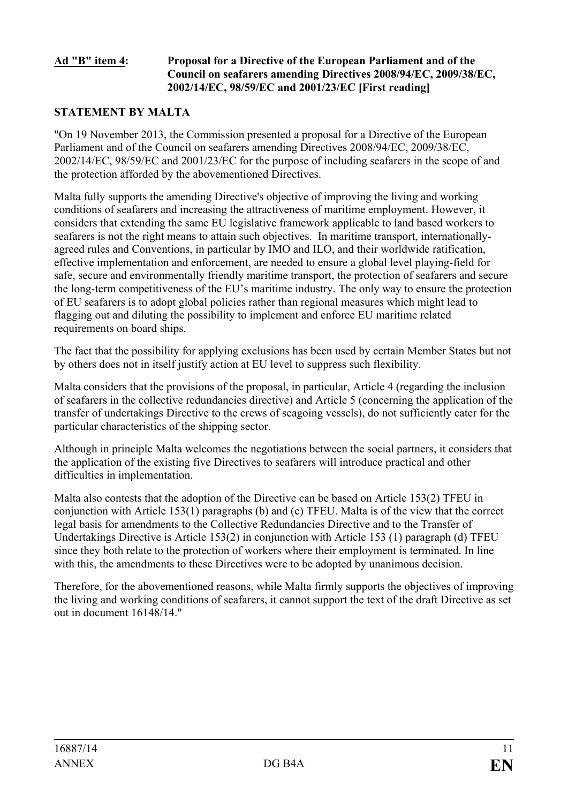#### **Ad "B" item 4: Proposal for a Directive of the European Parliament and of the Council on seafarers amending Directives 2008/94/EC, 2009/38/EC, 2002/14/EC, 98/59/EC and 2001/23/EC [First reading]**

# **STATEMENT BY MALTA**

"On 19 November 2013, the Commission presented a proposal for a Directive of the European Parliament and of the Council on seafarers amending Directives 2008/94/EC, 2009/38/EC, 2002/14/EC, 98/59/EC and 2001/23/EC for the purpose of including seafarers in the scope of and the protection afforded by the abovementioned Directives.

Malta fully supports the amending Directive's objective of improving the living and working conditions of seafarers and increasing the attractiveness of maritime employment. However, it considers that extending the same EU legislative framework applicable to land based workers to seafarers is not the right means to attain such objectives. In maritime transport, internationallyagreed rules and Conventions, in particular by IMO and ILO, and their worldwide ratification, effective implementation and enforcement, are needed to ensure a global level playing-field for safe, secure and environmentally friendly maritime transport, the protection of seafarers and secure the long-term competitiveness of the EU's maritime industry. The only way to ensure the protection of EU seafarers is to adopt global policies rather than regional measures which might lead to flagging out and diluting the possibility to implement and enforce EU maritime related requirements on board ships.

The fact that the possibility for applying exclusions has been used by certain Member States but not by others does not in itself justify action at EU level to suppress such flexibility.

Malta considers that the provisions of the proposal, in particular, Article 4 (regarding the inclusion of seafarers in the collective redundancies directive) and Article 5 (concerning the application of the transfer of undertakings Directive to the crews of seagoing vessels), do not sufficiently cater for the particular characteristics of the shipping sector.

Although in principle Malta welcomes the negotiations between the social partners, it considers that the application of the existing five Directives to seafarers will introduce practical and other difficulties in implementation.

Malta also contests that the adoption of the Directive can be based on Article 153(2) TFEU in conjunction with Article 153(1) paragraphs (b) and (e) TFEU. Malta is of the view that the correct legal basis for amendments to the Collective Redundancies Directive and to the Transfer of Undertakings Directive is Article 153(2) in conjunction with Article 153 (1) paragraph (d) TFEU since they both relate to the protection of workers where their employment is terminated. In line with this, the amendments to these Directives were to be adopted by unanimous decision.

Therefore, for the abovementioned reasons, while Malta firmly supports the objectives of improving the living and working conditions of seafarers, it cannot support the text of the draft Directive as set out in document 16148/14."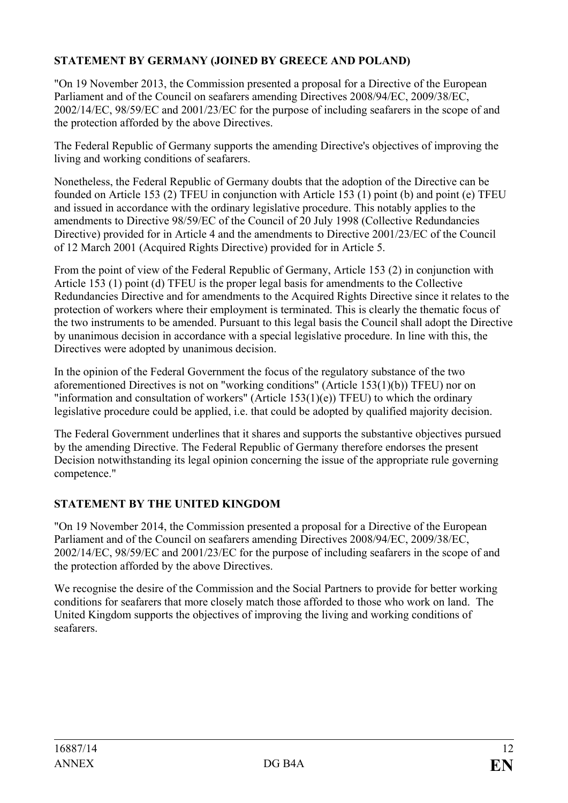# **STATEMENT BY GERMANY (JOINED BY GREECE AND POLAND)**

"On 19 November 2013, the Commission presented a proposal for a Directive of the European Parliament and of the Council on seafarers amending Directives 2008/94/EC, 2009/38/EC, 2002/14/EC, 98/59/EC and 2001/23/EC for the purpose of including seafarers in the scope of and the protection afforded by the above Directives.

The Federal Republic of Germany supports the amending Directive's objectives of improving the living and working conditions of seafarers.

Nonetheless, the Federal Republic of Germany doubts that the adoption of the Directive can be founded on Article 153 (2) TFEU in conjunction with Article 153 (1) point (b) and point (e) TFEU and issued in accordance with the ordinary legislative procedure. This notably applies to the amendments to Directive 98/59/EC of the Council of 20 July 1998 (Collective Redundancies Directive) provided for in Article 4 and the amendments to Directive 2001/23/EC of the Council of 12 March 2001 (Acquired Rights Directive) provided for in Article 5.

From the point of view of the Federal Republic of Germany, Article 153 (2) in conjunction with Article 153 (1) point (d) TFEU is the proper legal basis for amendments to the Collective Redundancies Directive and for amendments to the Acquired Rights Directive since it relates to the protection of workers where their employment is terminated. This is clearly the thematic focus of the two instruments to be amended. Pursuant to this legal basis the Council shall adopt the Directive by unanimous decision in accordance with a special legislative procedure. In line with this, the Directives were adopted by unanimous decision.

In the opinion of the Federal Government the focus of the regulatory substance of the two aforementioned Directives is not on "working conditions" (Article 153(1)(b)) TFEU) nor on "information and consultation of workers" (Article 153(1)(e)) TFEU) to which the ordinary legislative procedure could be applied, i.e. that could be adopted by qualified majority decision.

The Federal Government underlines that it shares and supports the substantive objectives pursued by the amending Directive. The Federal Republic of Germany therefore endorses the present Decision notwithstanding its legal opinion concerning the issue of the appropriate rule governing competence."

## **STATEMENT BY THE UNITED KINGDOM**

"On 19 November 2014, the Commission presented a proposal for a Directive of the European Parliament and of the Council on seafarers amending Directives 2008/94/EC, 2009/38/EC, 2002/14/EC, 98/59/EC and 2001/23/EC for the purpose of including seafarers in the scope of and the protection afforded by the above Directives.

We recognise the desire of the Commission and the Social Partners to provide for better working conditions for seafarers that more closely match those afforded to those who work on land. The United Kingdom supports the objectives of improving the living and working conditions of seafarers.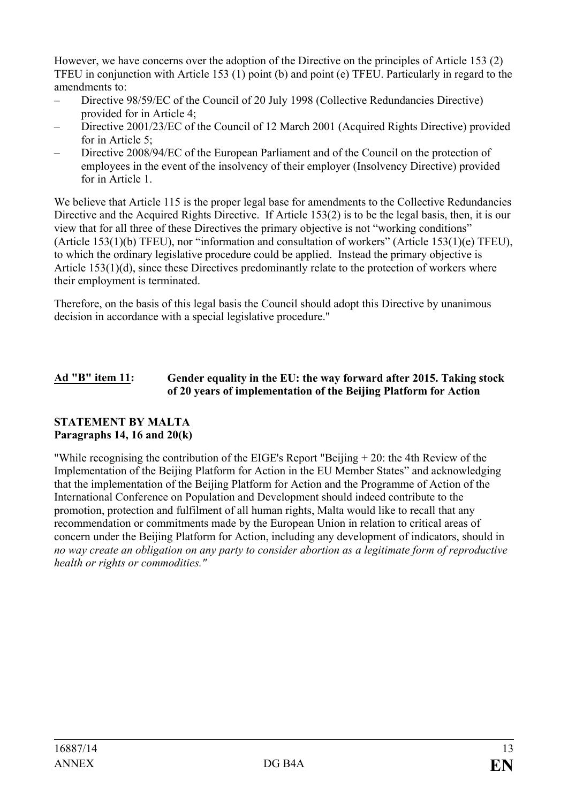However, we have concerns over the adoption of the Directive on the principles of Article 153 (2) TFEU in conjunction with Article 153 (1) point (b) and point (e) TFEU. Particularly in regard to the amendments to:

- Directive 98/59/EC of the Council of 20 July 1998 (Collective Redundancies Directive) provided for in Article 4;
- Directive 2001/23/EC of the Council of 12 March 2001 (Acquired Rights Directive) provided for in Article 5;
- Directive 2008/94/EC of the European Parliament and of the Council on the protection of employees in the event of the insolvency of their employer (Insolvency Directive) provided for in Article 1.

We believe that Article 115 is the proper legal base for amendments to the Collective Redundancies Directive and the Acquired Rights Directive. If Article 153(2) is to be the legal basis, then, it is our view that for all three of these Directives the primary objective is not "working conditions" (Article 153(1)(b) TFEU), nor "information and consultation of workers" (Article 153(1)(e) TFEU), to which the ordinary legislative procedure could be applied. Instead the primary objective is Article 153(1)(d), since these Directives predominantly relate to the protection of workers where their employment is terminated.

Therefore, on the basis of this legal basis the Council should adopt this Directive by unanimous decision in accordance with a special legislative procedure."

## **Ad "B" item 11: Gender equality in the EU: the way forward after 2015. Taking stock of 20 years of implementation of the Beijing Platform for Action**

## **STATEMENT BY MALTA Paragraphs 14, 16 and 20(k)**

"While recognising the contribution of the EIGE's Report "Beijing + 20: the 4th Review of the Implementation of the Beijing Platform for Action in the EU Member States" and acknowledging that the implementation of the Beijing Platform for Action and the Programme of Action of the International Conference on Population and Development should indeed contribute to the promotion, protection and fulfilment of all human rights, Malta would like to recall that any recommendation or commitments made by the European Union in relation to critical areas of concern under the Beijing Platform for Action, including any development of indicators, should in *no way create an obligation on any party to consider abortion as a legitimate form of reproductive health or rights or commodities."*